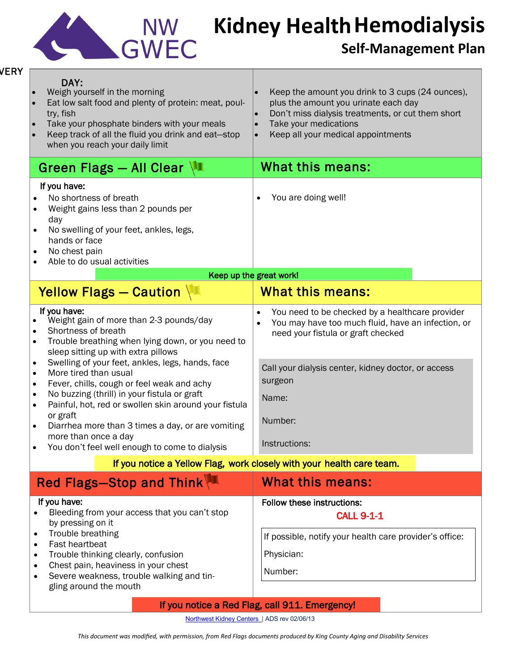

## **Hemodialysis Kidney Health**

## **Self-Management Plan**

| <b>VERY</b> | DAY:<br>Weigh yourself in the morning<br>Eat low salt food and plenty of protein: meat, poul-<br>try, fish<br>Take your phosphate binders with your meals<br>$\bullet$<br>Keep track of all the fluid you drink and eat-stop<br>when you reach your daily limit                                                                                 | Keep the amount you drink to 3 cups (24 ounces),<br>plus the amount you urinate each day<br>Don't miss dialysis treatments, or cut them short<br>Take your medications<br>Keep all your medical appointments |  |
|-------------|-------------------------------------------------------------------------------------------------------------------------------------------------------------------------------------------------------------------------------------------------------------------------------------------------------------------------------------------------|--------------------------------------------------------------------------------------------------------------------------------------------------------------------------------------------------------------|--|
|             | Green Flags - All Clear $\sqrt{1}$                                                                                                                                                                                                                                                                                                              | <b>What this means:</b>                                                                                                                                                                                      |  |
|             | If you have:<br>No shortness of breath<br>Weight gains less than 2 pounds per<br>٠<br>day<br>No swelling of your feet, ankles, legs,<br>٠<br>hands or face<br>No chest pain<br>$\bullet$<br>Able to do usual activities<br>$\bullet$                                                                                                            | You are doing well!                                                                                                                                                                                          |  |
|             | Keep up the great work!                                                                                                                                                                                                                                                                                                                         |                                                                                                                                                                                                              |  |
|             | Yellow Flags - Caution                                                                                                                                                                                                                                                                                                                          | <b>What this means:</b>                                                                                                                                                                                      |  |
|             | If you have:<br>Weight gain of more than 2-3 pounds/day<br>Shortness of breath<br>$\bullet$<br>Trouble breathing when lying down, or you need to<br>$\bullet$<br>sleep sitting up with extra pillows<br>Swelling of your feet, ankles, legs, hands, face<br>$\bullet$                                                                           | You need to be checked by a healthcare provider<br>You may have too much fluid, have an infection, or<br>need your fistula or graft checked                                                                  |  |
|             | More tired than usual<br>$\bullet$<br>Fever, chills, cough or feel weak and achy<br>$\bullet$                                                                                                                                                                                                                                                   | Call your dialysis center, kidney doctor, or access<br>surgeon                                                                                                                                               |  |
|             | No buzzing (thrill) in your fistula or graft<br>$\bullet$<br>Painful, hot, red or swollen skin around your fistula<br>$\bullet$                                                                                                                                                                                                                 | Name:                                                                                                                                                                                                        |  |
|             | or graft<br>Diarrhea more than 3 times a day, or are vomiting                                                                                                                                                                                                                                                                                   | Number:                                                                                                                                                                                                      |  |
|             | more than once a day<br>You don't feel well enough to come to dialysis                                                                                                                                                                                                                                                                          | Instructions:                                                                                                                                                                                                |  |
|             | If you notice a Yellow Flag, work closely with your health care team.                                                                                                                                                                                                                                                                           |                                                                                                                                                                                                              |  |
|             | Red Flags-Stop and Think                                                                                                                                                                                                                                                                                                                        | <b>What this means:</b>                                                                                                                                                                                      |  |
|             | If you have:<br>Bleeding from your access that you can't stop<br>by pressing on it<br>Trouble breathing<br>$\bullet$<br>Fast heartbeat<br>$\bullet$<br>Trouble thinking clearly, confusion<br>$\bullet$<br>Chest pain, heaviness in your chest<br>$\bullet$<br>Severe weakness, trouble walking and tin-<br>$\bullet$<br>gling around the mouth | <b>Follow these instructions:</b><br><b>CALL 9-1-1</b><br>If possible, notify your health care provider's office:<br>Physician:<br>Number:                                                                   |  |
|             | If you notice a Red Flag, call 911. Emergency!                                                                                                                                                                                                                                                                                                  |                                                                                                                                                                                                              |  |

[Northwest Kidney](http://nwkidney.org/kidneyInformation/chronicDisease/index.html) Centers | ADS rev 02/06/13